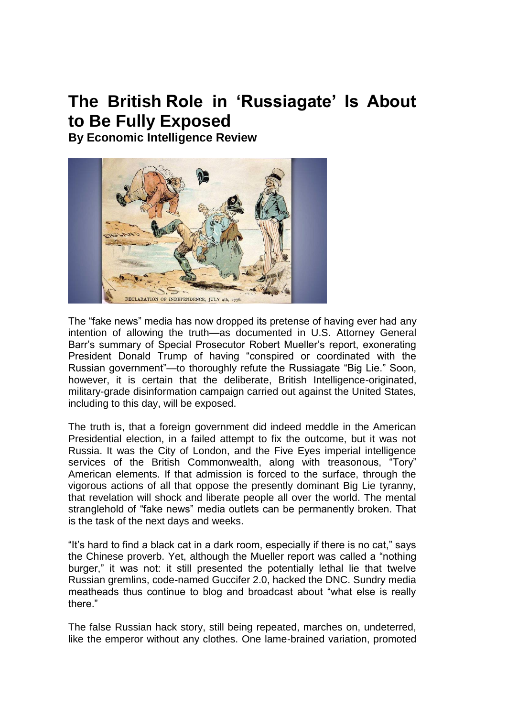# **The British Role in 'Russiagate' Is About to Be Fully Exposed**

**By Economic Intelligence Review**



The "fake news" media has now dropped its pretense of having ever had any intention of allowing the truth—as documented in U.S. Attorney General Barr's summary of Special Prosecutor Robert Mueller's report, exonerating President Donald Trump of having "conspired or coordinated with the Russian government"—to thoroughly refute the Russiagate "Big Lie." Soon, however, it is certain that the deliberate, British Intelligence-originated, military-grade disinformation campaign carried out against the United States, including to this day, will be exposed.

The truth is, that a foreign government did indeed meddle in the American Presidential election, in a failed attempt to fix the outcome, but it was not Russia. It was the City of London, and the Five Eyes imperial intelligence services of the British Commonwealth, along with treasonous, "Tory" American elements. If that admission is forced to the surface, through the vigorous actions of all that oppose the presently dominant Big Lie tyranny, that revelation will shock and liberate people all over the world. The mental stranglehold of "fake news" media outlets can be permanently broken. That is the task of the next days and weeks.

"It's hard to find a black cat in a dark room, especially if there is no cat," says the Chinese proverb. Yet, although the Mueller report was called a "nothing burger," it was not: it still presented the potentially lethal lie that twelve Russian gremlins, code-named Guccifer 2.0, hacked the DNC. Sundry media meatheads thus continue to blog and broadcast about "what else is really there."

The false Russian hack story, still being repeated, marches on, undeterred, like the emperor without any clothes. One lame-brained variation, promoted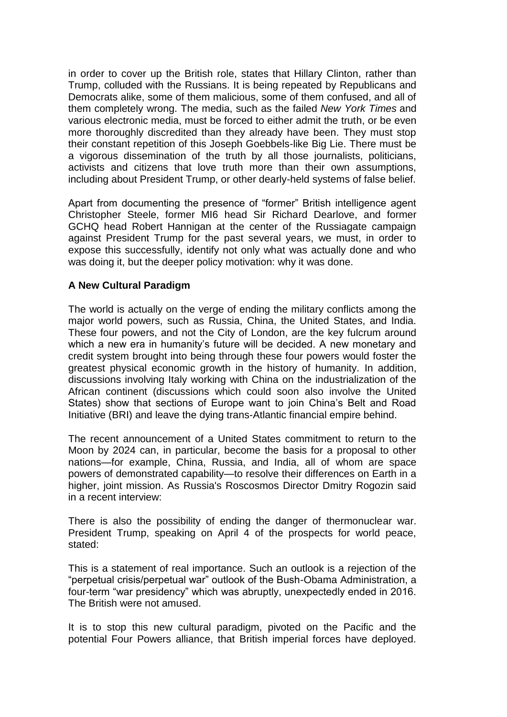in order to cover up the British role, states that Hillary Clinton, rather than Trump, colluded with the Russians. It is being repeated by Republicans and Democrats alike, some of them malicious, some of them confused, and all of them completely wrong. The media, such as the failed *New York Times* and various electronic media, must be forced to either admit the truth, or be even more thoroughly discredited than they already have been. They must stop their constant repetition of this Joseph Goebbels-like Big Lie. There must be a vigorous dissemination of the truth by all those journalists, politicians, activists and citizens that love truth more than their own assumptions, including about President Trump, or other dearly-held systems of false belief.

Apart from documenting the presence of "former" British intelligence agent Christopher Steele, former MI6 head Sir Richard Dearlove, and former GCHQ head Robert Hannigan at the center of the Russiagate campaign against President Trump for the past several years, we must, in order to expose this successfully, identify not only what was actually done and who was doing it, but the deeper policy motivation: why it was done.

## **A New Cultural Paradigm**

The world is actually on the verge of ending the military conflicts among the major world powers, such as Russia, China, the United States, and India. These four powers, and not the City of London, are the key fulcrum around which a new era in humanity's future will be decided. A new monetary and credit system brought into being through these four powers would foster the greatest physical economic growth in the history of humanity. In addition, discussions involving Italy working with China on the industrialization of the African continent (discussions which could soon also involve the United States) show that sections of Europe want to join China's Belt and Road Initiative (BRI) and leave the dying trans-Atlantic financial empire behind.

The recent announcement of a United States commitment to return to the Moon by 2024 can, in particular, become the basis for a proposal to other nations—for example, China, Russia, and India, all of whom are space powers of demonstrated capability—to resolve their differences on Earth in a higher, joint mission. As Russia's Roscosmos Director Dmitry Rogozin said in a recent interview:

There is also the possibility of ending the danger of thermonuclear war. President Trump, speaking on April 4 of the prospects for world peace, stated:

This is a statement of real importance. Such an outlook is a rejection of the "perpetual crisis/perpetual war" outlook of the Bush-Obama Administration, a four-term "war presidency" which was abruptly, unexpectedly ended in 2016. The British were not amused.

It is to stop this new cultural paradigm, pivoted on the Pacific and the potential Four Powers alliance, that British imperial forces have deployed.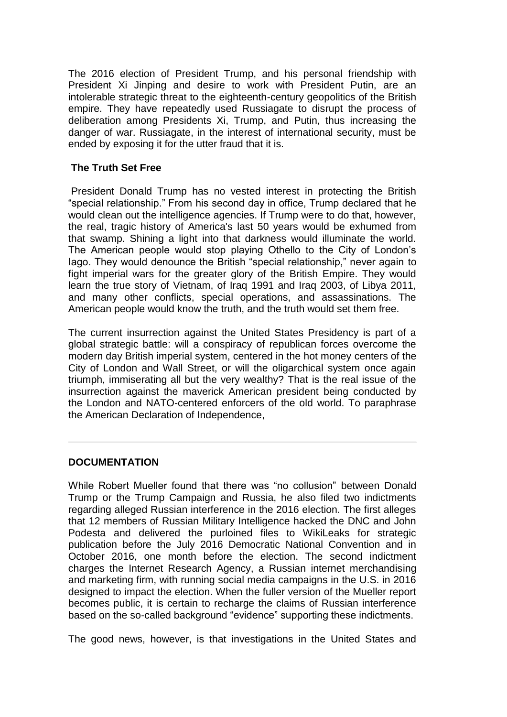The 2016 election of President Trump, and his personal friendship with President Xi Jinping and desire to work with President Putin, are an intolerable strategic threat to the eighteenth-century geopolitics of the British empire. They have repeatedly used Russiagate to disrupt the process of deliberation among Presidents Xi, Trump, and Putin, thus increasing the danger of war. Russiagate, in the interest of international security, must be ended by exposing it for the utter fraud that it is.

#### **The Truth Set Free**

President Donald Trump has no vested interest in protecting the British "special relationship." From his second day in office, Trump declared that he would clean out the intelligence agencies. If Trump were to do that, however, the real, tragic history of America's last 50 years would be exhumed from that swamp. Shining a light into that darkness would illuminate the world. The American people would stop playing Othello to the City of London's Iago. They would denounce the British "special relationship," never again to fight imperial wars for the greater glory of the British Empire. They would learn the true story of Vietnam, of Iraq 1991 and Iraq 2003, of Libya 2011, and many other conflicts, special operations, and assassinations. The American people would know the truth, and the truth would set them free.

The current insurrection against the United States Presidency is part of a global strategic battle: will a conspiracy of republican forces overcome the modern day British imperial system, centered in the hot money centers of the City of London and Wall Street, or will the oligarchical system once again triumph, immiserating all but the very wealthy? That is the real issue of the insurrection against the maverick American president being conducted by the London and NATO-centered enforcers of the old world. To paraphrase the American Declaration of Independence,

## **DOCUMENTATION**

While Robert Mueller found that there was "no collusion" between Donald Trump or the Trump Campaign and Russia, he also filed two indictments regarding alleged Russian interference in the 2016 election. The first alleges that 12 members of Russian Military Intelligence hacked the DNC and John Podesta and delivered the purloined files to WikiLeaks for strategic publication before the July 2016 Democratic National Convention and in October 2016, one month before the election. The second indictment charges the Internet Research Agency, a Russian internet merchandising and marketing firm, with running social media campaigns in the U.S. in 2016 designed to impact the election. When the fuller version of the Mueller report becomes public, it is certain to recharge the claims of Russian interference based on the so-called background "evidence" supporting these indictments.

The good news, however, is that investigations in the United States and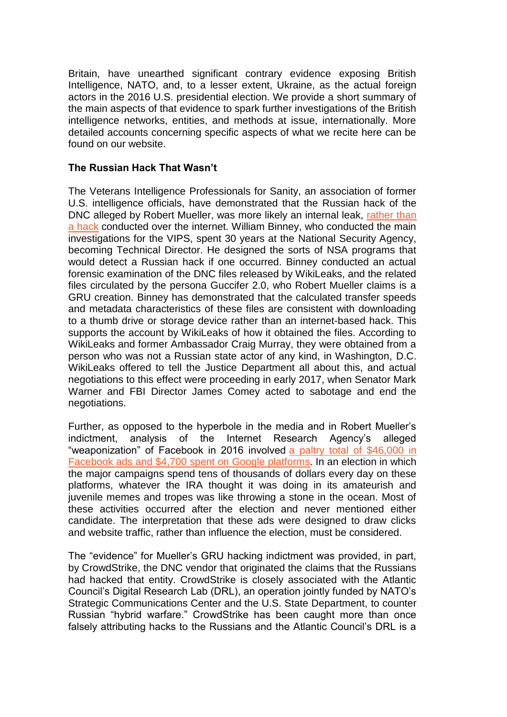Britain, have unearthed significant contrary evidence exposing British Intelligence, NATO, and, to a lesser extent, Ukraine, as the actual foreign actors in the 2016 U.S. presidential election. We provide a short summary of the main aspects of that evidence to spark further investigations of the British intelligence networks, entities, and methods at issue, internationally. More detailed accounts concerning specific aspects of what we recite here can be found on our website.

### **The Russian Hack That Wasn't**

The Veterans Intelligence Professionals for Sanity, an association of former U.S. intelligence officials, have demonstrated that the Russian hack of the DNC alleged by Robert Mueller, was more likely an internal leak, [rather](http://click.icptrack.com/icp/relay.php?r=11133090&msgid=128718&act=YC60&c=1663023&destination=https%3A%2F%2Fconsortiumnews.com%2F2019%2F03%2F13%2Fvips-muellers-forensics-free-findings%2F) than a [hack](http://click.icptrack.com/icp/relay.php?r=11133090&msgid=128718&act=YC60&c=1663023&destination=https%3A%2F%2Fconsortiumnews.com%2F2019%2F03%2F13%2Fvips-muellers-forensics-free-findings%2F) conducted over the internet. William Binney, who conducted the main investigations for the VIPS, spent 30 years at the National Security Agency, becoming Technical Director. He designed the sorts of NSA programs that would detect a Russian hack if one occurred. Binney conducted an actual forensic examination of the DNC files released by WikiLeaks, and the related files circulated by the persona Guccifer 2.0, who Robert Mueller claims is a GRU creation. Binney has demonstrated that the calculated transfer speeds and metadata characteristics of these files are consistent with downloading to a thumb drive or storage device rather than an internet-based hack. This supports the account by WikiLeaks of how it obtained the files. According to WikiLeaks and former Ambassador Craig Murray, they were obtained from a person who was not a Russian state actor of any kind, in Washington, D.C. WikiLeaks offered to tell the Justice Department all about this, and actual negotiations to this effect were proceeding in early 2017, when Senator Mark Warner and FBI Director James Comey acted to sabotage and end the negotiations.

Further, as opposed to the hyperbole in the media and in Robert Mueller's indictment, analysis of the Internet Research Agency's alleged "weaponization" of Facebook in 2016 involved a paltry total of [\\$46,000](http://click.icptrack.com/icp/relay.php?r=11133090&msgid=128718&act=YC60&c=1663023&destination=https%3A%2F%2Fwww.thenation.com%2Farticle%2Frussiagate-elections-interference%2F) in [Facebook](http://click.icptrack.com/icp/relay.php?r=11133090&msgid=128718&act=YC60&c=1663023&destination=https%3A%2F%2Fwww.thenation.com%2Farticle%2Frussiagate-elections-interference%2F) ads and \$4,700 spent on Google platforms. In an election in which the major campaigns spend tens of thousands of dollars every day on these platforms, whatever the IRA thought it was doing in its amateurish and juvenile memes and tropes was like throwing a stone in the ocean. Most of these activities occurred after the election and never mentioned either candidate. The interpretation that these ads were designed to draw clicks and website traffic, rather than influence the election, must be considered.

The "evidence" for Mueller's GRU hacking indictment was provided, in part, by CrowdStrike, the DNC vendor that originated the claims that the Russians had hacked that entity. CrowdStrike is closely associated with the Atlantic Council's Digital Research Lab (DRL), an operation jointly funded by NATO's Strategic Communications Center and the U.S. State Department, to counter Russian "hybrid warfare." CrowdStrike has been caught more than once falsely attributing hacks to the Russians and the Atlantic Council's DRL is a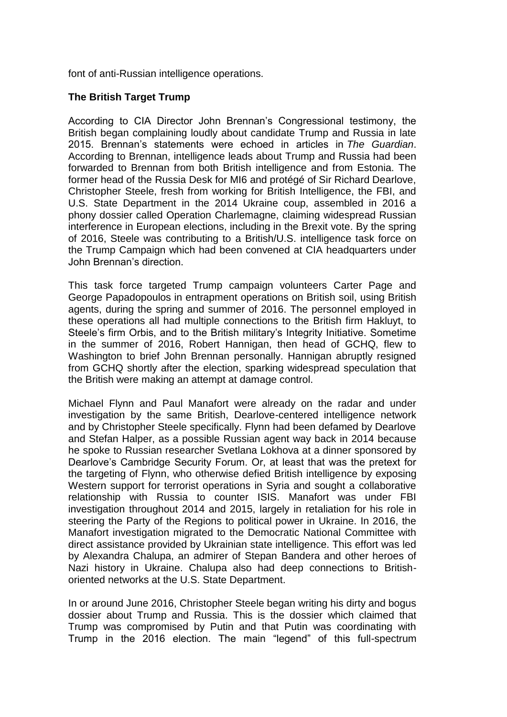font of anti-Russian intelligence operations.

## **The British Target Trump**

According to CIA Director John Brennan's Congressional testimony, the British began complaining loudly about candidate Trump and Russia in late 2015. Brennan's statements were echoed in articles in *The Guardian*. According to Brennan, intelligence leads about Trump and Russia had been forwarded to Brennan from both British intelligence and from Estonia. The former head of the Russia Desk for MI6 and protégé of Sir Richard Dearlove, Christopher Steele, fresh from working for British Intelligence, the FBI, and U.S. State Department in the 2014 Ukraine coup, assembled in 2016 a phony dossier called Operation Charlemagne, claiming widespread Russian interference in European elections, including in the Brexit vote. By the spring of 2016, Steele was contributing to a British/U.S. intelligence task force on the Trump Campaign which had been convened at CIA headquarters under John Brennan's direction.

This task force targeted Trump campaign volunteers Carter Page and George Papadopoulos in entrapment operations on British soil, using British agents, during the spring and summer of 2016. The personnel employed in these operations all had multiple connections to the British firm Hakluyt, to Steele's firm Orbis, and to the British military's Integrity Initiative. Sometime in the summer of 2016, Robert Hannigan, then head of GCHQ, flew to Washington to brief John Brennan personally. Hannigan abruptly resigned from GCHQ shortly after the election, sparking widespread speculation that the British were making an attempt at damage control.

Michael Flynn and Paul Manafort were already on the radar and under investigation by the same British, Dearlove-centered intelligence network and by Christopher Steele specifically. Flynn had been defamed by Dearlove and Stefan Halper, as a possible Russian agent way back in 2014 because he spoke to Russian researcher Svetlana Lokhova at a dinner sponsored by Dearlove's Cambridge Security Forum. Or, at least that was the pretext for the targeting of Flynn, who otherwise defied British intelligence by exposing Western support for terrorist operations in Syria and sought a collaborative relationship with Russia to counter ISIS. Manafort was under FBI investigation throughout 2014 and 2015, largely in retaliation for his role in steering the Party of the Regions to political power in Ukraine. In 2016, the Manafort investigation migrated to the Democratic National Committee with direct assistance provided by Ukrainian state intelligence. This effort was led by Alexandra Chalupa, an admirer of Stepan Bandera and other heroes of Nazi history in Ukraine. Chalupa also had deep connections to Britishoriented networks at the U.S. State Department.

In or around June 2016, Christopher Steele began writing his dirty and bogus dossier about Trump and Russia. This is the dossier which claimed that Trump was compromised by Putin and that Putin was coordinating with Trump in the 2016 election. The main "legend" of this full-spectrum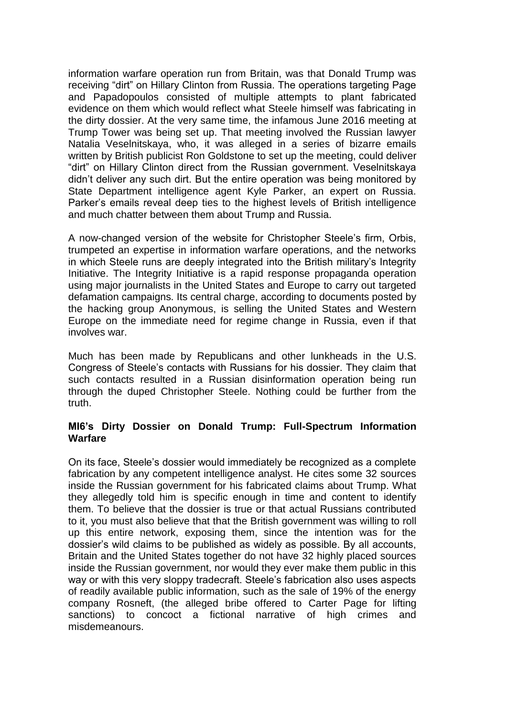information warfare operation run from Britain, was that Donald Trump was receiving "dirt" on Hillary Clinton from Russia. The operations targeting Page and Papadopoulos consisted of multiple attempts to plant fabricated evidence on them which would reflect what Steele himself was fabricating in the dirty dossier. At the very same time, the infamous June 2016 meeting at Trump Tower was being set up. That meeting involved the Russian lawyer Natalia Veselnitskaya, who, it was alleged in a series of bizarre emails written by British publicist Ron Goldstone to set up the meeting, could deliver "dirt" on Hillary Clinton direct from the Russian government. Veselnitskaya didn't deliver any such dirt. But the entire operation was being monitored by State Department intelligence agent Kyle Parker, an expert on Russia. Parker's emails reveal deep ties to the highest levels of British intelligence and much chatter between them about Trump and Russia.

A now-changed version of the website for Christopher Steele's firm, Orbis, trumpeted an expertise in information warfare operations, and the networks in which Steele runs are deeply integrated into the British military's Integrity Initiative. The Integrity Initiative is a rapid response propaganda operation using major journalists in the United States and Europe to carry out targeted defamation campaigns. Its central charge, according to documents posted by the hacking group Anonymous, is selling the United States and Western Europe on the immediate need for regime change in Russia, even if that involves war.

Much has been made by Republicans and other lunkheads in the U.S. Congress of Steele's contacts with Russians for his dossier. They claim that such contacts resulted in a Russian disinformation operation being run through the duped Christopher Steele. Nothing could be further from the truth.

#### **MI6's Dirty Dossier on Donald Trump: Full-Spectrum Information Warfare**

On its face, Steele's dossier would immediately be recognized as a complete fabrication by any competent intelligence analyst. He cites some 32 sources inside the Russian government for his fabricated claims about Trump. What they allegedly told him is specific enough in time and content to identify them. To believe that the dossier is true or that actual Russians contributed to it, you must also believe that that the British government was willing to roll up this entire network, exposing them, since the intention was for the dossier's wild claims to be published as widely as possible. By all accounts, Britain and the United States together do not have 32 highly placed sources inside the Russian government, nor would they ever make them public in this way or with this very sloppy tradecraft. Steele's fabrication also uses aspects of readily available public information, such as the sale of 19% of the energy company Rosneft, (the alleged bribe offered to Carter Page for lifting sanctions) to concoct a fictional narrative of high crimes and misdemeanours.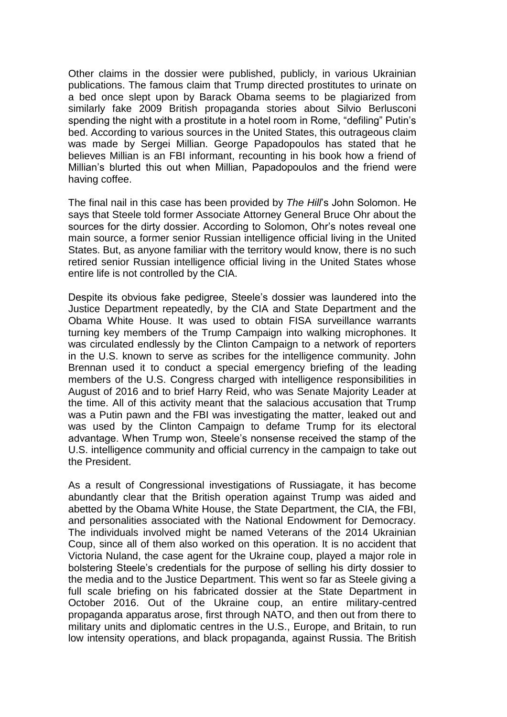Other claims in the dossier were published, publicly, in various Ukrainian publications. The famous claim that Trump directed prostitutes to urinate on a bed once slept upon by Barack Obama seems to be plagiarized from similarly fake 2009 British propaganda stories about Silvio Berlusconi spending the night with a prostitute in a hotel room in Rome, "defiling" Putin's bed. According to various sources in the United States, this outrageous claim was made by Sergei Millian. George Papadopoulos has stated that he believes Millian is an FBI informant, recounting in his book how a friend of Millian's blurted this out when Millian, Papadopoulos and the friend were having coffee.

The final nail in this case has been provided by *The Hill*'s John Solomon. He says that Steele told former Associate Attorney General Bruce Ohr about the sources for the dirty dossier. According to Solomon, Ohr's notes reveal one main source, a former senior Russian intelligence official living in the United States. But, as anyone familiar with the territory would know, there is no such retired senior Russian intelligence official living in the United States whose entire life is not controlled by the CIA.

Despite its obvious fake pedigree, Steele's dossier was laundered into the Justice Department repeatedly, by the CIA and State Department and the Obama White House. It was used to obtain FISA surveillance warrants turning key members of the Trump Campaign into walking microphones. It was circulated endlessly by the Clinton Campaign to a network of reporters in the U.S. known to serve as scribes for the intelligence community. John Brennan used it to conduct a special emergency briefing of the leading members of the U.S. Congress charged with intelligence responsibilities in August of 2016 and to brief Harry Reid, who was Senate Majority Leader at the time. All of this activity meant that the salacious accusation that Trump was a Putin pawn and the FBI was investigating the matter, leaked out and was used by the Clinton Campaign to defame Trump for its electoral advantage. When Trump won, Steele's nonsense received the stamp of the U.S. intelligence community and official currency in the campaign to take out the President.

As a result of Congressional investigations of Russiagate, it has become abundantly clear that the British operation against Trump was aided and abetted by the Obama White House, the State Department, the CIA, the FBI, and personalities associated with the National Endowment for Democracy. The individuals involved might be named Veterans of the 2014 Ukrainian Coup, since all of them also worked on this operation. It is no accident that Victoria Nuland, the case agent for the Ukraine coup, played a major role in bolstering Steele's credentials for the purpose of selling his dirty dossier to the media and to the Justice Department. This went so far as Steele giving a full scale briefing on his fabricated dossier at the State Department in October 2016. Out of the Ukraine coup, an entire military-centred propaganda apparatus arose, first through NATO, and then out from there to military units and diplomatic centres in the U.S., Europe, and Britain, to run low intensity operations, and black propaganda, against Russia. The British